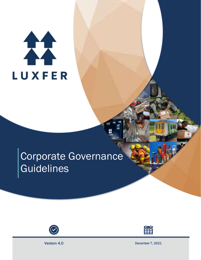# 11 **LUXFER**

# Corporate Governance **Guidelines**





Version 4.0 December 7, 2021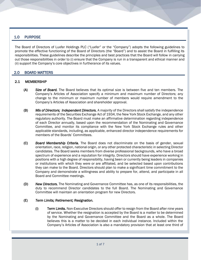# 1.0 PURPOSE

The Board of Directors of Luxfer Holdings PLC ("Luxfer" or the "Company") adopts the following guidelines to promote the effective functioning of the Board of Directors (the "Board") and to assist the Board in fulfilling its responsibilities. These guidelines describe the principles and best practices that the Board will follow in carrying out those responsibilities in order to (i) ensure that the Company is run in a transparent and ethical manner and (ii) support the Company's core objectives in furtherance of its values.

# 2.0 BOARD MATTERS

### 2.1 MEMBERSHIP

- (A) *Size of Board.* The Board believes that its optimal size is between five and ten members. The Company's Articles of Association specify a minimum and maximum number of Directors; any change to the minimum or maximum number of members would require amendment to the Company's Articles of Association and shareholder approval.
- (B) *Mix of Directors; Independent Directors.* A majority of the Directors shall satisfy the independence requirements of the Securities Exchange Act of 1934, the New York Stock Exchange, and any other regulatory authority. The Board must make an affirmative determination regarding independence of each Director annually, based upon the recommendation of the Nominating and Governance Committee, and monitor its compliance with the New York Stock Exchange rules and other applicable standards, including, as applicable, enhanced director independence requirements for members of the Boards' Committees.
- (C) *Board Membership Criteria.* The Board does not discriminate on the basis of gender, sexual orientation, race, religion, national origin, or any other protected characteristic in selecting Director candidates. The Board seeks members from diverse professional backgrounds, who have a broad spectrum of experience and a reputation for integrity. Directors should have experience working in positions with a high degree of responsibility, having been or currently being leaders in companies or institutions with which they were or are affiliated, and be selected based upon contributions they can make to the Board. Directors should plan to make a significant time commitment to the Company and demonstrate a willingness and ability to prepare for, attend, and participate in all Board and Committee meetings.
- (D) *New Directors.* The Nominating and Governance Committee has, as one of its responsibilities, the duty to recommend Director candidates to the full Board. The Nominating and Governance Committee will maintain an orientation program for new Directors.

#### (E) *Term Limits; Retirement; Resignation.*

(i) Term Limits. Non-Executive Directors should offer to resign from the Board after nine years of service. Whether the resignation is accepted by the Board is a matter to be determined by the Nominating and Governance Committee and the Board as a whole. The Board believes this is a matter to be decided in each individual instance. Included within the Company's Articles of Association is also a mandatory provision that at least one third of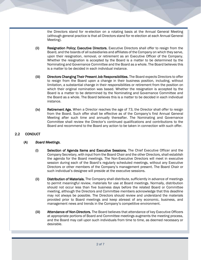the Directors stand for re-election on a rotating basis at the Annual General Meeting (although general practice is that all Directors stand for re-election at each Annual General Meeting).

- (ii) Resignation Policy; Executive Directors. Executive Directors shall offer to resign from the Board, and the boards of all subsidiaries and affiliates of the Company on which they serve, upon their resignation, removal, or retirement as an Executive Officer of the Company. Whether the resignation is accepted by the Board is a matter to be determined by the Nominating and Governance Committee and the Board as a whole. The Board believes this is a matter to be decided in each individual instance.
- (iii) Directors Changing Their Present Job Responsibilities. The Board expects Directors to offer to resign from the Board upon a change in their business position, including, without limitation, a substantial change in their responsibilities or retirement from the position on which their original nomination was based. Whether the resignation is accepted by the Board is a matter to be determined by the Nominating and Governance Committee and the Board as a whole. The Board believes this is a matter to be decided in each individual instance.
- (iv) Retirement Age. When a Director reaches the age of 73, the Director shall offer to resign from the Board. Such offer shall be effective as of the Company's first Annual General Meeting after such time and annually thereafter. The Nominating and Governance Committee shall review the Director's continued qualifications and contributions to the Board and recommend to the Board any action to be taken in connection with such offer.

# 2.2 CONDUCT

### (A) *Board Meetings.*

- (i) Selection of Agenda Items and Executive Sessions. The Chief Executive Officer and the Company Secretary, with input from the Board Chair and the other Directors, shall establish the agenda for the Board meetings. The Non-Executive Directors will meet in executive session during each of the Board's regularly scheduled meetings, without any Executive Directors or other members of the Company's management present. The Board Chair or such individual's designee will preside at the executive sessions.
- (ii) Distribution of Materials. The Company shall distribute, sufficiently in advance of meetings to permit meaningful review, materials for use at Board meetings. Normally, distribution should not occur less than five business days before the related Board or Committee meeting, although the Directors and Committee members acknowledge that this deadline may not always be possible. The Directors should review and understand the materials provided prior to Board meetings and keep abreast of any economic, business, and management news and trends in the Company's competitive environment.
- (iii) Attendance of Non-Directors. The Board believes that attendance of key Executive Officers at appropriate portions of Board and Committee meetings augments the meeting process, and the Board may call upon such individuals from time to time, as deemed necessary or desirable.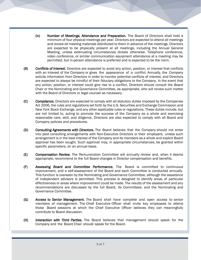- (iv) Number of Meetings; Attendance and Preparation. The Board of Directors shall hold a minimum of four physical meetings per year. Directors are expected to attend all meetings and review all meeting materials distributed to them in advance of the meetings. Directors are expected to be physically present at all meetings, including the Annual General Meeting, unless extenuating circumstances dictate otherwise. Telephone conference, video conference, or similar communication equipment attendance at a meeting may be permitted, but in-person attendance is preferred and is expected to be the norm.
- (B) *Conflicts of Interest.* Directors are expected to avoid any action, position, or interest that conflicts with an interest of the Company or gives the appearance of a conflict. Annually, the Company solicits information from Directors in order to monitor potential conflicts of interest, and Directors are expected to always be mindful of their fiduciary obligations to the Company. In the event that any action, position, or interest could give rise to a conflict, Directors should consult the Board Chair or the Nominating and Governance Committee, as appropriate, who will review such matter with the Board of Directors or legal counsel as necessary.
- (C) *Compliance.* Directors are expected to comply with all statutory duties imposed by the Companies Act 2006, the rules and regulations set forth by the U.S. Securities and Exchange Commission and New York Stock Exchange, and any other applicable rules or regulations. These duties include, but are not limited to, acting to promote the success of the Company as a whole and exercising reasonable care, skill, and diligence. Directors are also expected to comply with all Board and Company policies and procedures.
- (D) *Consulting Agreements with Directors.* The Board believes that the Company should not enter into paid consulting arrangements with Non-Executive Directors or their employers, unless such arrangement is in the best interest of the Company and its members as a whole and explicit Board approval has been sought. Such approval may, in appropriate circumstances, be granted within specific parameters, on an annual basis.
- (E) *Compensation Review.* The Remuneration Committee will annually review and, when it deems appropriate, recommend to the full Board changes in Director compensation and benefits.
- (F) *Assessing Board and Committee Performance.* The Board is committed to continuous improvement, and a self-assessment of the Board and each Committee is conducted annually. This function is overseen by the Nominating and Governance Committee, although the assistance of independent advisors is permitted. This process is designed to identify areas of particular effectiveness or areas where improvement could be made. The results of the assessment and any recommendations are discussed by the full Board, its Committees, and the Nominating and Governance Committee.
- (G) *Access to Senior Management.* The Board shall have complete and open access to senior members of management. The Chief Executive Officer shall invite key employees to attend those Board sessions at which the Chief Executive Officer believes they can meaningfully contribute to Board discussion.
- (H) *Interaction with Third Parties.* The Board believes that management should speak for the Company and the Board Chair should speak for the Board.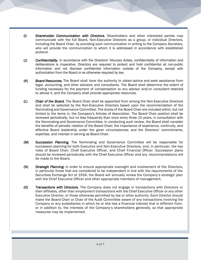- (I) *Shareholder Communication with Directors.* Shareholders and other interested parties may communicate with the full Board, Non-Executive Directors as a group, or individual Directors, including the Board Chair, by providing such communication in writing to the Company Secretary, who will provide the communication to whom it is addressed in accordance with established protocol.
- (J) *Confidentiality.* In accordance with the Directors' fiduciary duties, confidentiality of information and deliberations is imperative. Directors are required to protect and hold confidential all non-public information and not disclose confidential information outside of the Company, except with authorization from the Board or as otherwise required by law.
- (K) *Board Resources.* The Board shall have the authority to obtain advice and seek assistance from legal, accounting, and other advisors and consultants. The Board shall determine the extent of funding necessary for the payment of compensation to any advisor and/or consultant retained to advise it, and the Company shall provide appropriate resources.
- (L) *Chair of the Board.* The Board Chair shall be appointed from among the Non-Executive Directors and shall be selected by the Non-Executive Directors based upon the recommendation of the Nominating and Governance Committee. The duties of the Board Chair are included within, but not limited to the items in, the Company's Articles of Association. The Board Chair position shall be reviewed periodically, but no less frequently than once every three (3) years, in consultation with the Nominating and Governance Committee. In conducting such review, the Board shall consider the benefits of periodic rotation of the Board Chair; the importance of experience, continuity, and effective Board leadership under the given circumstances; and the Directors' commitments, expertise, and interest in serving as Board Chair.
- (M) *Succession Planning.* The Nominating and Governance Committee will be responsible for succession planning for both Executive and Non-Executive Directors, and, in particular, the key roles of Board Chair, Chief Executive Officer, and Chief Financial Officer. Succession plans should be reviewed periodically with the Chief Executive Officer and any recommendations will be made to the Board.
- (N) *Strategic Planning.* In order to ensure appropriate oversight and involvement of the Directors, in particular those that are considered to be independent in line with the requirements of the Securities Exchange Act of 1934, the Board will annually review the Company's strategic plan with the Chief Executive Officer and other appropriate members of management.
- (O) *Transactions with Directors.* The Company does not engage in transactions with Directors or their affiliates, other than employment transactions with the Chief Executive Officer or any other Executive Director, or those otherwise permitted by law or other authority. Each Director should make the Board Chair or Chair of the Audit Committee aware of any transactions involving the Company or any subsidiaries in which he or she has a financial interest that is different from, or in addition to, the interests of the Company's shareholders generally, so that appropriate measures may be implemented.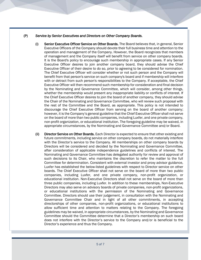### (P) *Service by Senior Executives and Directors on Other Company Boards.*

- (i) Senior Executive Officer Service on Other Boards. The Board believes that, in general, Senior Executive Officers of the Company should devote their full business time and attention to the operation and management of the Company. However, the Board recognizes that members of management and the Company itself will benefit from service on other company boards. It is the Board's policy to encourage such membership in appropriate cases. If any Senior Executive Officer desires to join another company board, they should advise the Chief Executive Officer of their desire to do so, prior to agreeing to be considered for nomination. The Chief Executive Officer will consider whether or not such person and the Company will benefit from that person's service on such company's board and if membership will interfere with or detract from such person's responsibilities to the Company. If acceptable, the Chief Executive Officer will then recommend such membership for consideration and final decision by the Nominating and Governance Committee, which will consider, among other things, whether the membership would present any inappropriate liability or conflicts of interest. If the Chief Executive Officer desires to join the board of another company, they should advise the Chair of the Nominating and Governance Committee, who will review such proposal with the rest of the Committee and the Board, as appropriate. This policy is not intended to discourage the Chief Executive Officer from serving on the board of another company; however, it is the Company's general guideline that the Chief Executive Officer shall not serve on the board of more than two public companies, including Luxfer, and one private company, non-profit organization, or educational institution. The foregoing guideline may be waived, in appropriate circumstances, by the Nominating and Governance Committee and/or Board.
- (ii) Director Service on Other Boards. Each Director is expected to ensure that other existing and future commitments, including service on other company boards, do not materially interfere with the Director's service to the Company. All memberships on other company boards by Directors will be considered and decided by the Nominating and Governance Committee, after consideration of applicable independence guidelines and conflicts of interest. The Nominating and Governance Committee has delegated authority for review and approval of such decisions to its Chair, who maintains the discretion to refer the matter to the full Committee for determination. Consistent with external investor and proxy advisor guidance, Luxfer has established the below-listed guidelines with respect to Director service on other boards. The Chief Executive Officer shall not serve on the board of more than two public companies, including Luxfer, and one private company, non-profit organization, or educational institution. Non-Executive Directors shall not serve on the board of more than three public companies, including Luxfer. In addition to these memberships, Non-Executive Directors may also serve on advisory boards of private companies, non-profit organizations, or educational institutions with the permission of the Nominating and Governance Committee. Directors should use their judgement, in consultation with the Nominating and Governance Committee Chair and in light of all other commitments, in accepting directorships of other companies, non-profit organizations, or educational institutions to allow sufficient time and attention to matters relating to the Company. The foregoing guidelines may be waived, in appropriate circumstances, by the Nominating and Governance Committee should the Committee determine that a Director's membership on such board does not interfere with the Director's service to the Company and/or is beneficial to the Director's experience and thus the Company.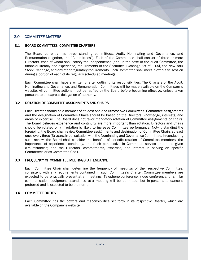# 3.0 COMMITTEE MATTERS

#### 3.1 BOARD COMMITTEES; COMMITTEE CHARTERS

The Board currently has three standing committees: Audit, Nominating and Governance, and Remuneration (together, the "Committees"). Each of the Committees shall consist of three or more Directors, each of whom shall satisfy the independence (and, in the case of the Audit Committee, the financial literacy and experience) requirements of the Securities Exchange Act of 1934, the New York Stock Exchange, and any other regulatory requirements. Each Committee shall meet in executive session during a portion of each of its regularly scheduled meetings.

Each Committee shall have a written charter outlining its responsibilities. The Charters of the Audit, Nominating and Governance, and Remuneration Committees will be made available on the Company's website. All committee actions must be ratified by the Board before becoming effective, unless taken pursuant to an express delegation of authority.

### 3.2 ROTATION OF COMMITTEE ASSIGNMENTS AND CHAIRS

Each Director should be a member of at least one and utmost two Committees. Committee assignments and the designation of Committee Chairs should be based on the Directors' knowledge, interests, and areas of expertise. The Board does not favor mandatory rotation of Committee assignments or chairs. The Board believes experience and continuity are more important than rotation. Directors and Chairs should be rotated only if rotation is likely to increase Committee performance. Notwithstanding the foregoing, the Board shall review Committee assignments and designation of Committee Chairs at least once every three (3) years, in consultation with the Nominating and Governance Committee. In conducting such review, the Board shall consider the benefits of periodic rotation of Committee members; the importance of experience, continuity, and fresh perspective in Committee service under the given circumstances; and the Directors' commitments, expertise, and interest in serving on specific Committees or as Committee Chair.

### 3.3 FREQUENCY OF COMMITTEE MEETINGS; ATTENDANCE

Each Committee Chair shall determine the frequency of meetings of their respective Committee, consistent with any requirements contained in such Committee's Charter. Committee members are expected to be physically present at all meetings. Telephone conference, video conference, or similar communication equipment attendance at a meeting will be permitted, but in-person attendance is preferred and is expected to be the norm.

### 3.4 COMMITTEE DUTIES

Each Committee has the powers and responsibilities set forth in its respective Charter, which are available on the Company's website.